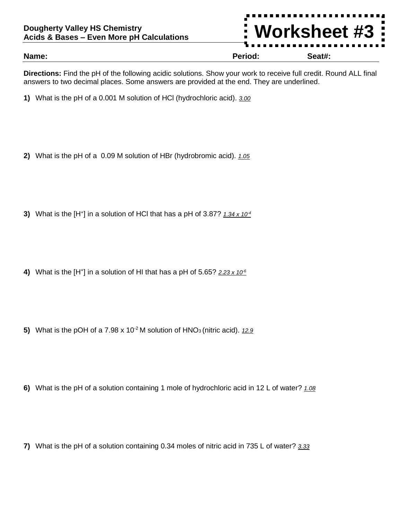

**Directions:** Find the pH of the following acidic solutions. Show your work to receive full credit. Round ALL final answers to two decimal places. Some answers are provided at the end. They are underlined.

- **1)** What is the pH of a 0.001 M solution of HCl (hydrochloric acid). *3.00*
- **2)** What is the pH of a 0.09 M solution of HBr (hydrobromic acid). *1.05*
- **3)** What is the [H<sup>+</sup> ] in a solution of HCl that has a pH of 3.87? *1.34 x 10-4*
- 4) What is the [H<sup>+</sup>] in a solution of HI that has a pH of 5.65? 2.23 x 10<sup>-6</sup>
- **5)** What is the pOH of a 7.98 x 10<sup>-2</sup> M solution of HNO<sub>3</sub> (nitric acid). 12.9
- **6)** What is the pH of a solution containing 1 mole of hydrochloric acid in 12 L of water? *1.08*
- **7)** What is the pH of a solution containing 0.34 moles of nitric acid in 735 L of water? *3.33*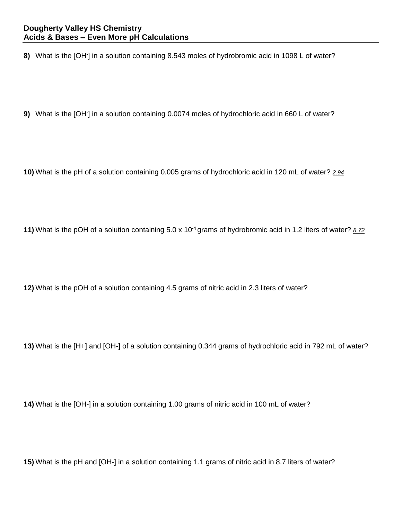**8)** What is the [OH- ] in a solution containing 8.543 moles of hydrobromic acid in 1098 L of water?

9) What is the [OH<sup>-</sup>] in a solution containing 0.0074 moles of hydrochloric acid in 660 L of water?

**10)** What is the pH of a solution containing 0.005 grams of hydrochloric acid in 120 mL of water? *2.94*

**11)** What is the pOH of a solution containing 5.0 x 10-4 grams of hydrobromic acid in 1.2 liters of water? *8.72*

**12)** What is the pOH of a solution containing 4.5 grams of nitric acid in 2.3 liters of water?

**13)** What is the [H+] and [OH-] of a solution containing 0.344 grams of hydrochloric acid in 792 mL of water?

**14)** What is the [OH-] in a solution containing 1.00 grams of nitric acid in 100 mL of water?

**15)** What is the pH and [OH-] in a solution containing 1.1 grams of nitric acid in 8.7 liters of water?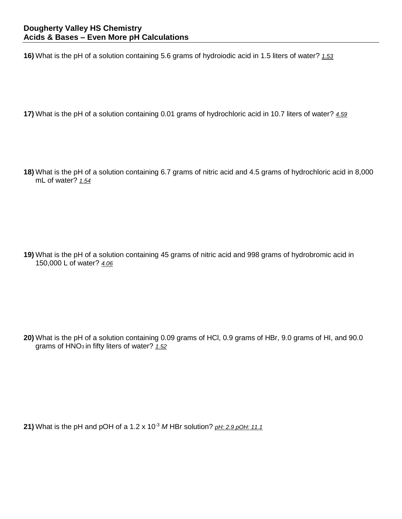**16)** What is the pH of a solution containing 5.6 grams of hydroiodic acid in 1.5 liters of water? *1.53*

**17)** What is the pH of a solution containing 0.01 grams of hydrochloric acid in 10.7 liters of water? *4.59*

**18)** What is the pH of a solution containing 6.7 grams of nitric acid and 4.5 grams of hydrochloric acid in 8,000 mL of water? *1.54*

**19)** What is the pH of a solution containing 45 grams of nitric acid and 998 grams of hydrobromic acid in 150,000 L of water? *4.06*

**20)** What is the pH of a solution containing 0.09 grams of HCl, 0.9 grams of HBr, 9.0 grams of HI, and 90.0 grams of HNO<sub>3</sub> in fifty liters of water? 1.52

**21)** What is the pH and pOH of a 1.2 x 10-3 *M* HBr solution? *pH: 2.9 pOH: 11.1*